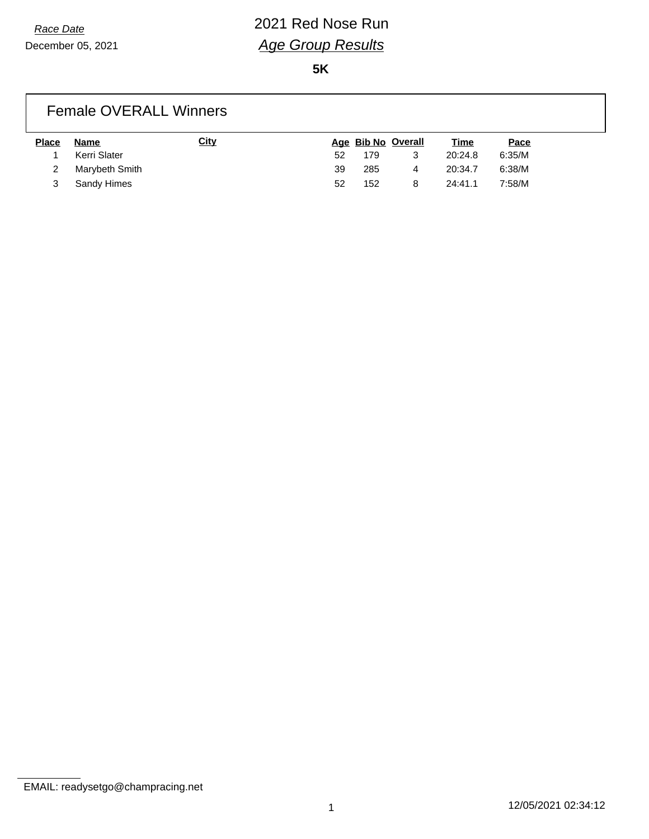## *Race Date* 2021 Red Nose Run *Age Group Results*

**5K**

| <b>Female OVERALL Winners</b> |                |             |    |     |                    |             |        |  |
|-------------------------------|----------------|-------------|----|-----|--------------------|-------------|--------|--|
| <b>Place</b>                  | Name           | <b>City</b> |    |     | Age Bib No Overall | <u>Time</u> | Pace   |  |
|                               | Kerri Slater   |             | 52 | 179 | 3                  | 20:24.8     | 6:35/M |  |
|                               | Marybeth Smith |             | 39 | 285 | 4                  | 20:34.7     | 6:38/M |  |

3 Sandy Himes 52 152 8 24:41.1 7:58/M

EMAIL: readysetgo@champracing.net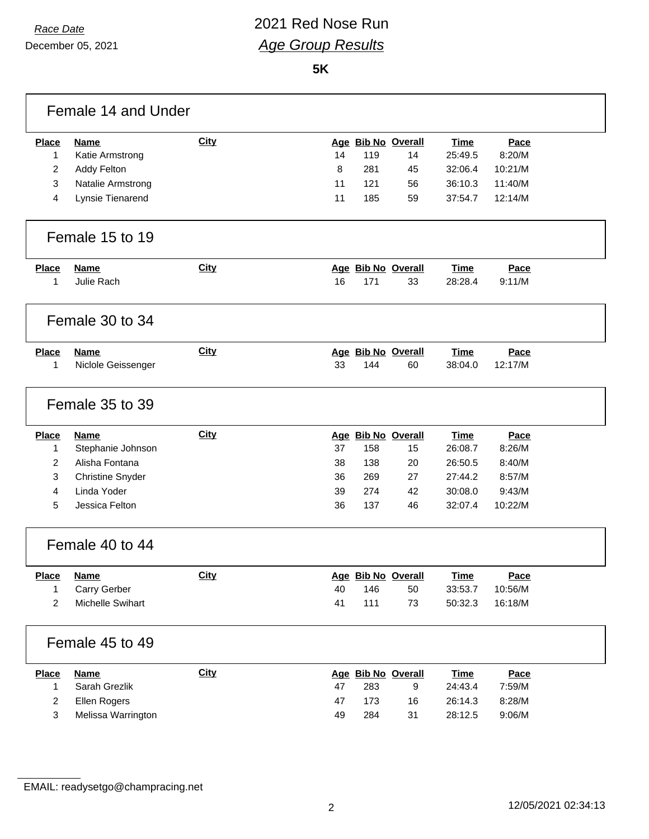December 05, 2021

#### *Race Date* 2021 Red Nose Run *Age Group Results*

|                | Female 14 and Under     |             |    |     |                    |             |         |  |
|----------------|-------------------------|-------------|----|-----|--------------------|-------------|---------|--|
| <b>Place</b>   | <b>Name</b>             | <b>City</b> |    |     | Age Bib No Overall | <b>Time</b> | Pace    |  |
| 1              | Katie Armstrong         |             | 14 | 119 | 14                 | 25:49.5     | 8:20/M  |  |
| $\overline{2}$ | Addy Felton             |             | 8  | 281 | 45                 | 32:06.4     | 10:21/M |  |
| 3              | Natalie Armstrong       |             | 11 | 121 | 56                 | 36:10.3     | 11:40/M |  |
| 4              | Lynsie Tienarend        |             | 11 | 185 | 59                 | 37:54.7     | 12:14/M |  |
|                | Female 15 to 19         |             |    |     |                    |             |         |  |
| <b>Place</b>   | <b>Name</b>             | <b>City</b> |    |     | Age Bib No Overall | Time        | Pace    |  |
| 1              | Julie Rach              |             | 16 | 171 | 33                 | 28:28.4     | 9:11/M  |  |
|                | Female 30 to 34         |             |    |     |                    |             |         |  |
| <b>Place</b>   | Name                    | City        |    |     | Age Bib No Overall | <b>Time</b> | Pace    |  |
| 1              | Niclole Geissenger      |             | 33 | 144 | 60                 | 38:04.0     | 12:17/M |  |
|                | Female 35 to 39         |             |    |     |                    |             |         |  |
| <b>Place</b>   | <b>Name</b>             | <b>City</b> |    |     | Age Bib No Overall | <b>Time</b> | Pace    |  |
| 1              | Stephanie Johnson       |             | 37 | 158 | 15                 | 26:08.7     | 8:26/M  |  |
| $\overline{2}$ | Alisha Fontana          |             | 38 | 138 | 20                 | 26:50.5     | 8:40/M  |  |
| 3              | <b>Christine Snyder</b> |             | 36 | 269 | 27                 | 27:44.2     | 8:57/M  |  |
| 4              | Linda Yoder             |             | 39 | 274 | 42                 | 30:08.0     | 9:43/M  |  |
| 5              | Jessica Felton          |             | 36 | 137 | 46                 | 32:07.4     | 10:22/M |  |
|                | Female 40 to 44         |             |    |     |                    |             |         |  |
| <b>Place</b>   | <b>Name</b>             | <b>City</b> |    |     | Age Bib No Overall | <b>Time</b> | Pace    |  |
| 1              | Carry Gerber            |             | 40 | 146 | 50                 | 33:53.7     | 10:56/M |  |
| $\overline{2}$ | Michelle Swihart        |             | 41 | 111 | 73                 | 50:32.3     | 16:18/M |  |
|                | Female 45 to 49         |             |    |     |                    |             |         |  |
| <b>Place</b>   | <b>Name</b>             | <b>City</b> |    |     | Age Bib No Overall | <b>Time</b> | Pace    |  |
| $\mathbf{1}$   | Sarah Grezlik           |             | 47 | 283 | 9                  | 24:43.4     | 7:59/M  |  |
| $\overline{c}$ | Ellen Rogers            |             | 47 | 173 | 16                 | 26:14.3     | 8:28/M  |  |
| 3              | Melissa Warrington      |             | 49 | 284 | 31                 | 28:12.5     | 9:06/M  |  |

EMAIL: readysetgo@champracing.net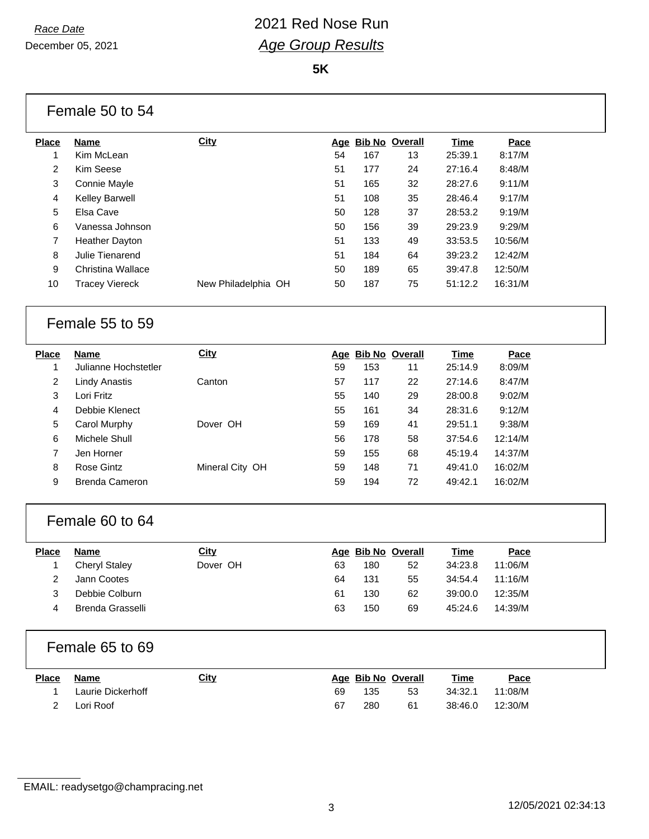December 05, 2021

### *Race Date* 2021 Red Nose Run *Age Group Results*

|                | Female 50 to 54          |                     |     |     |                       |             |         |  |
|----------------|--------------------------|---------------------|-----|-----|-----------------------|-------------|---------|--|
| <b>Place</b>   | <b>Name</b>              | <b>City</b>         | Age |     | <b>Bib No Overall</b> | <b>Time</b> | Pace    |  |
| $\mathbf{1}$   | Kim McLean               |                     | 54  | 167 | 13                    | 25:39.1     | 8:17/M  |  |
| 2              | Kim Seese                |                     | 51  | 177 | 24                    | 27:16.4     | 8:48/M  |  |
| 3              | Connie Mayle             |                     | 51  | 165 | 32                    | 28:27.6     | 9:11/M  |  |
| 4              | Kelley Barwell           |                     | 51  | 108 | 35                    | 28:46.4     | 9:17/M  |  |
| 5              | Elsa Cave                |                     | 50  | 128 | 37                    | 28:53.2     | 9:19/M  |  |
| 6              | Vanessa Johnson          |                     | 50  | 156 | 39                    | 29:23.9     | 9:29/M  |  |
| $\overline{7}$ | <b>Heather Dayton</b>    |                     | 51  | 133 | 49                    | 33:53.5     | 10:56/M |  |
| 8              | Julie Tienarend          |                     | 51  | 184 | 64                    | 39:23.2     | 12:42/M |  |
| 9              | <b>Christina Wallace</b> |                     | 50  | 189 | 65                    | 39:47.8     | 12:50/M |  |
| 10             | <b>Tracey Viereck</b>    | New Philadelphia OH | 50  | 187 | 75                    | 51:12.2     | 16:31/M |  |
|                | Female 55 to 59          |                     |     |     |                       |             |         |  |
| <b>Place</b>   | <b>Name</b>              | <b>City</b>         |     |     | Age Bib No Overall    | <b>Time</b> | Pace    |  |
| 1              | Julianne Hochstetler     |                     | 59  | 153 | 11                    | 25:14.9     | 8:09/M  |  |
| $\overline{c}$ | <b>Lindy Anastis</b>     | Canton              | 57  | 117 | 22                    | 27:14.6     | 8:47/M  |  |
| 3              | Lori Fritz               |                     | 55  | 140 | 29                    | 28:00.8     | 9:02/M  |  |
| 4              | Debbie Klenect           |                     | 55  | 161 | 34                    | 28:31.6     | 9:12/M  |  |
| 5              | Carol Murphy             | Dover OH            | 59  | 169 | 41                    | 29:51.1     | 9:38/M  |  |
| 6              | Michele Shull            |                     | 56  | 178 | 58                    | 37:54.6     | 12:14/M |  |
| $\overline{7}$ | Jen Horner               |                     | 59  | 155 | 68                    | 45:19.4     | 14:37/M |  |
| 8              | <b>Rose Gintz</b>        | Mineral City OH     | 59  | 148 | 71                    | 49:41.0     | 16:02/M |  |
| 9              | <b>Brenda Cameron</b>    |                     | 59  | 194 | 72                    | 49:42.1     | 16:02/M |  |
|                | Female 60 to 64          |                     |     |     |                       |             |         |  |
| <b>Place</b>   | <b>Name</b>              | City                |     |     | Age Bib No Overall    | <b>Time</b> | Pace    |  |
| 1              | <b>Cheryl Staley</b>     | Dover OH            | 63  | 180 | 52                    | 34:23.8     | 11:06/M |  |
| 2              | Jann Cootes              |                     | 64  | 131 | 55                    | 34:54.4     | 11:16/M |  |
| 3              | Debbie Colburn           |                     | 61  | 130 | 62                    | 39:00.0     | 12:35/M |  |
| 4              | <b>Brenda Grasselli</b>  |                     | 63  | 150 | 69                    | 45:24.6     | 14:39/M |  |
|                | Female 65 to 69          |                     |     |     |                       |             |         |  |
| <b>Place</b>   | <b>Name</b>              | <b>City</b>         |     |     | Age Bib No Overall    | <u>Time</u> | Pace    |  |
| 1              | Laurie Dickerhoff        |                     | 69  | 135 | 53                    | 34:32.1     | 11:08/M |  |
| 2              | Lori Roof                |                     | 67  | 280 | 61                    | 38:46.0     | 12:30/M |  |
|                |                          |                     |     |     |                       |             |         |  |

EMAIL: readysetgo@champracing.net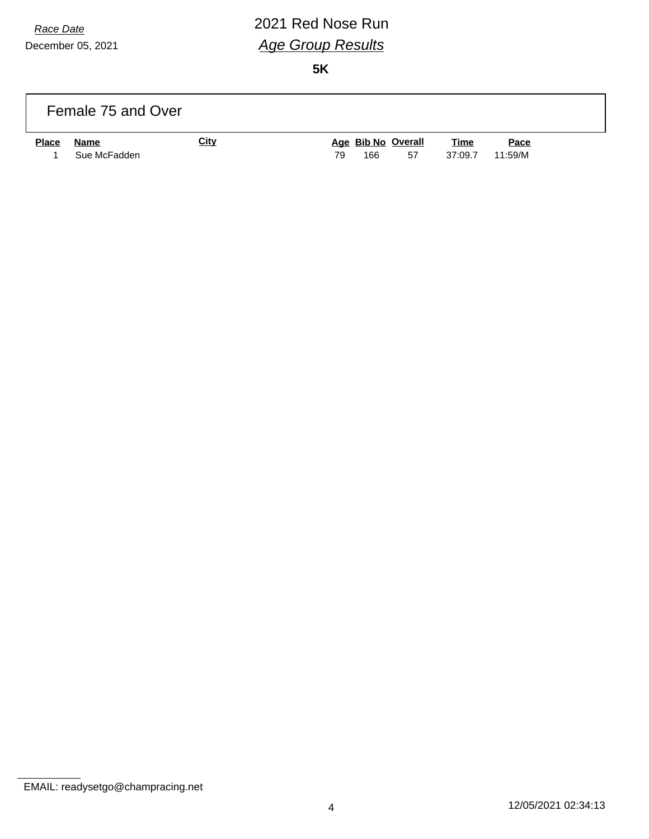# *Race Date* 2021 Red Nose Run *Age Group Results*

|              | Female 75 and Over   |             |                                       |                        |                 |
|--------------|----------------------|-------------|---------------------------------------|------------------------|-----------------|
| <b>Place</b> | Name<br>Sue McFadden | <u>City</u> | Age Bib No Overall<br>166<br>79<br>57 | <u>Time</u><br>37:09.7 | Pace<br>11:59/M |

EMAIL: readysetgo@champracing.net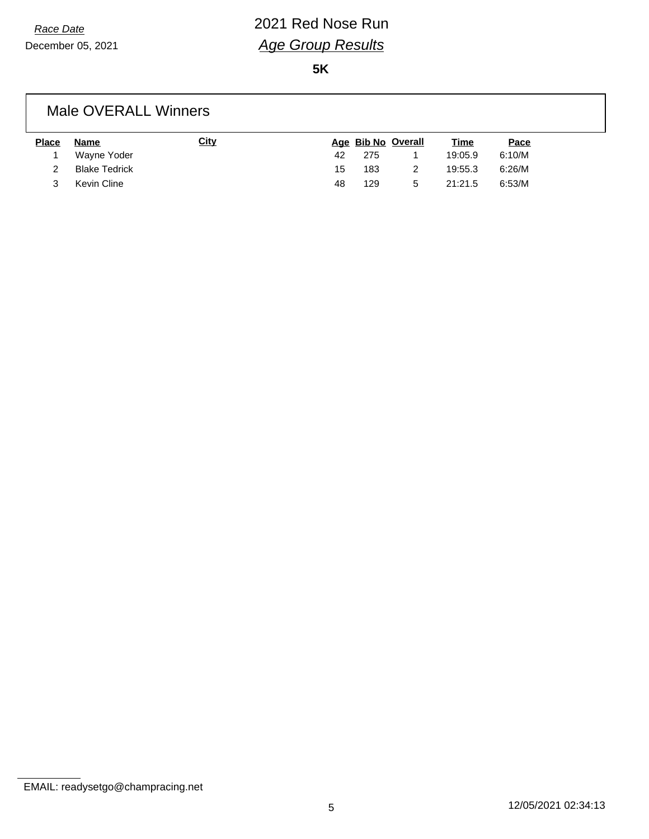## *Race Date* 2021 Red Nose Run *Age Group Results*

**5K**

#### Male OVERALL Winners

| <b>Place</b> | Name                 | <u>City</u> |    |     | Age Bib No Overall | <u>Time</u> | <u>Pace</u> |
|--------------|----------------------|-------------|----|-----|--------------------|-------------|-------------|
|              | Wayne Yoder          |             | 42 | 275 |                    | 19:05.9     | 6:10/M      |
| 2            | <b>Blake Tedrick</b> |             | 15 | 183 |                    | 19:55.3     | 6:26/M      |
|              | Kevin Cline          |             | 48 | 129 | 5                  | 21:21.5     | 6:53/M      |

EMAIL: readysetgo@champracing.net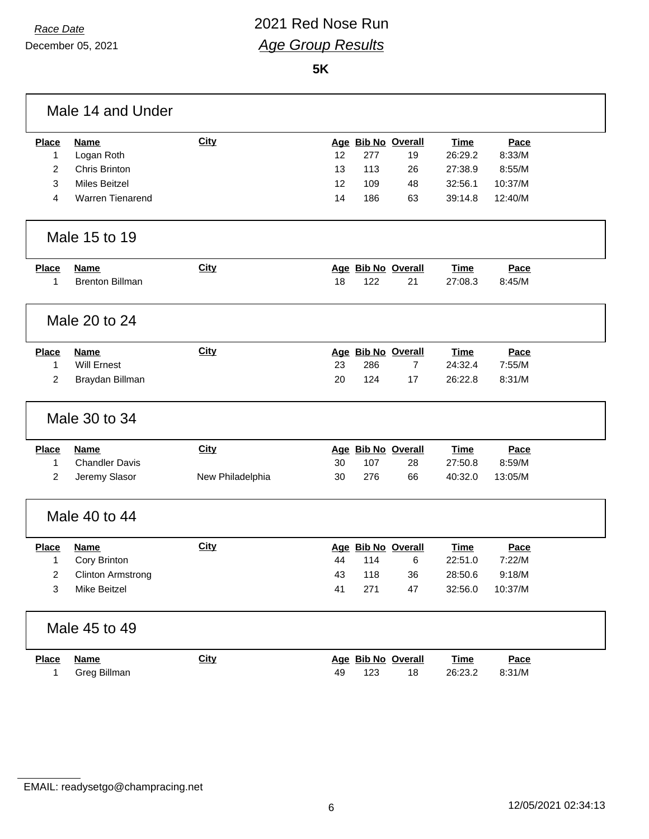### *Race Date* 2021 Red Nose Run *Age Group Results*

|                | Male 14 and Under        |                  |    |     |                    |             |         |  |
|----------------|--------------------------|------------------|----|-----|--------------------|-------------|---------|--|
| <b>Place</b>   | <b>Name</b>              | <b>City</b>      |    |     | Age Bib No Overall | <b>Time</b> | Pace    |  |
| 1              | Logan Roth               |                  | 12 | 277 | 19                 | 26:29.2     | 8:33/M  |  |
| $\overline{2}$ | Chris Brinton            |                  | 13 | 113 | 26                 | 27:38.9     | 8:55/M  |  |
| 3              | <b>Miles Beitzel</b>     |                  | 12 | 109 | 48                 | 32:56.1     | 10:37/M |  |
| 4              | <b>Warren Tienarend</b>  |                  | 14 | 186 | 63                 | 39:14.8     | 12:40/M |  |
|                | Male 15 to 19            |                  |    |     |                    |             |         |  |
| <b>Place</b>   | <b>Name</b>              | <b>City</b>      |    |     | Age Bib No Overall | <b>Time</b> | Pace    |  |
| 1              | <b>Brenton Billman</b>   |                  | 18 | 122 | 21                 | 27:08.3     | 8:45/M  |  |
|                | Male 20 to 24            |                  |    |     |                    |             |         |  |
| <b>Place</b>   | <b>Name</b>              | <b>City</b>      |    |     | Age Bib No Overall | <b>Time</b> | Pace    |  |
| $\mathbf{1}$   | Will Ernest              |                  | 23 | 286 | 7                  | 24:32.4     | 7:55/M  |  |
| 2              | Braydan Billman          |                  | 20 | 124 | 17                 | 26:22.8     | 8:31/M  |  |
|                | Male 30 to 34            |                  |    |     |                    |             |         |  |
| <b>Place</b>   | <b>Name</b>              | <b>City</b>      |    |     | Age Bib No Overall | <b>Time</b> | Pace    |  |
| $\mathbf{1}$   | <b>Chandler Davis</b>    |                  | 30 | 107 | 28                 | 27:50.8     | 8:59/M  |  |
| $\overline{2}$ | Jeremy Slasor            | New Philadelphia | 30 | 276 | 66                 | 40:32.0     | 13:05/M |  |
|                | Male 40 to 44            |                  |    |     |                    |             |         |  |
| Place          | <b>Name</b>              | <b>City</b>      |    |     | Age Bib No Overall | <b>Time</b> | Pace    |  |
| 1              | Cory Brinton             |                  | 44 | 114 | 6                  | 22:51.0     | 7:22/M  |  |
| 2              | <b>Clinton Armstrong</b> |                  | 43 | 118 | 36                 | 28:50.6     | 9:18/M  |  |
| 3              | Mike Beitzel             |                  | 41 | 271 | 47                 | 32:56.0     | 10:37/M |  |
|                | Male 45 to 49            |                  |    |     |                    |             |         |  |
| <b>Place</b>   | <b>Name</b>              | <b>City</b>      |    |     | Age Bib No Overall | <b>Time</b> | Pace    |  |
| 1              | Greg Billman             |                  | 49 | 123 | 18                 | 26:23.2     | 8:31/M  |  |

EMAIL: readysetgo@champracing.net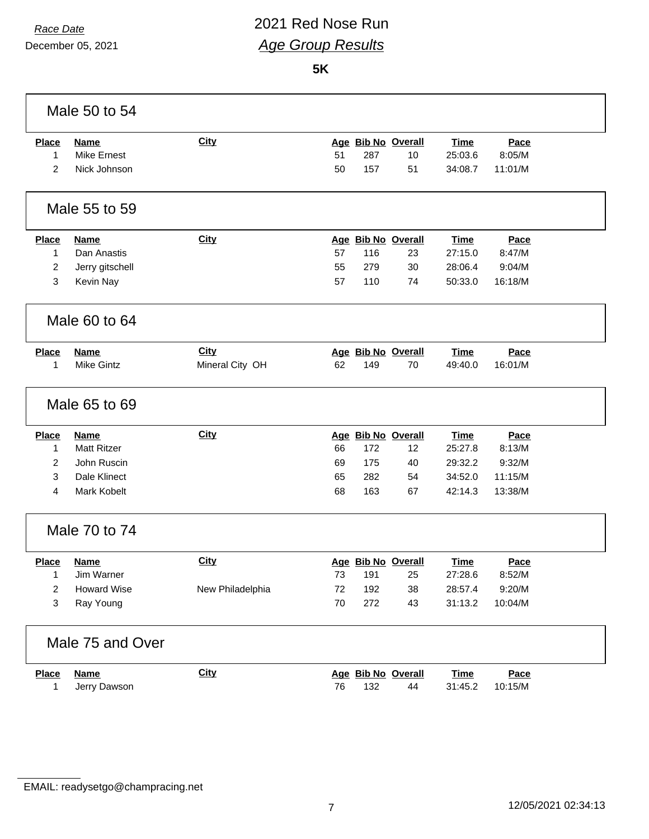#### *Race Date* 2021 Red Nose Run *Age Group Results*

|                | Male 50 to 54      |                  |    |     |                    |             |             |
|----------------|--------------------|------------------|----|-----|--------------------|-------------|-------------|
| <b>Place</b>   | <b>Name</b>        | <b>City</b>      |    |     | Age Bib No Overall | <b>Time</b> | Pace        |
| 1              | <b>Mike Ernest</b> |                  | 51 | 287 | 10                 | 25:03.6     | 8:05/M      |
| 2              | Nick Johnson       |                  | 50 | 157 | 51                 | 34:08.7     | 11:01/M     |
|                | Male 55 to 59      |                  |    |     |                    |             |             |
| <b>Place</b>   | <b>Name</b>        | <b>City</b>      |    |     | Age Bib No Overall | <b>Time</b> | Pace        |
| $\mathbf{1}$   | Dan Anastis        |                  | 57 | 116 | 23                 | 27:15.0     | 8:47/M      |
| 2              | Jerry gitschell    |                  | 55 | 279 | 30                 | 28:06.4     | 9:04/M      |
| 3              | Kevin Nay          |                  | 57 | 110 | 74                 | 50:33.0     | 16:18/M     |
|                | Male 60 to 64      |                  |    |     |                    |             |             |
| <b>Place</b>   | <b>Name</b>        | <b>City</b>      |    |     | Age Bib No Overall | <b>Time</b> | Pace        |
| 1              | <b>Mike Gintz</b>  | Mineral City OH  | 62 | 149 | 70                 | 49:40.0     | 16:01/M     |
|                | Male 65 to 69      |                  |    |     |                    |             |             |
| <b>Place</b>   | <b>Name</b>        | <b>City</b>      |    |     | Age Bib No Overall | <b>Time</b> | Pace        |
| $\mathbf{1}$   | <b>Matt Ritzer</b> |                  | 66 | 172 | 12                 | 25:27.8     | 8:13/M      |
| $\overline{c}$ | John Ruscin        |                  | 69 | 175 | 40                 | 29:32.2     | 9:32/M      |
| 3              | Dale Klinect       |                  | 65 | 282 | 54                 | 34:52.0     | 11:15/M     |
| 4              | Mark Kobelt        |                  | 68 | 163 | 67                 | 42:14.3     | 13:38/M     |
|                | Male 70 to 74      |                  |    |     |                    |             |             |
| <b>Place</b>   | <b>Name</b>        | <b>City</b>      |    |     | Age Bib No Overall | Time        | <b>Pace</b> |
| 1              | Jim Warner         |                  | 73 | 191 | 25                 | 27:28.6     | 8:52/M      |
| 2              | <b>Howard Wise</b> | New Philadelphia | 72 | 192 | 38                 | 28:57.4     | 9:20/M      |
| 3              | Ray Young          |                  | 70 | 272 | 43                 | 31:13.2     | 10:04/M     |
|                | Male 75 and Over   |                  |    |     |                    |             |             |
| <b>Place</b>   | <b>Name</b>        | <b>City</b>      |    |     | Age Bib No Overall | <b>Time</b> | Pace        |
| 1              | Jerry Dawson       |                  | 76 | 132 | 44                 | 31:45.2     | 10:15/M     |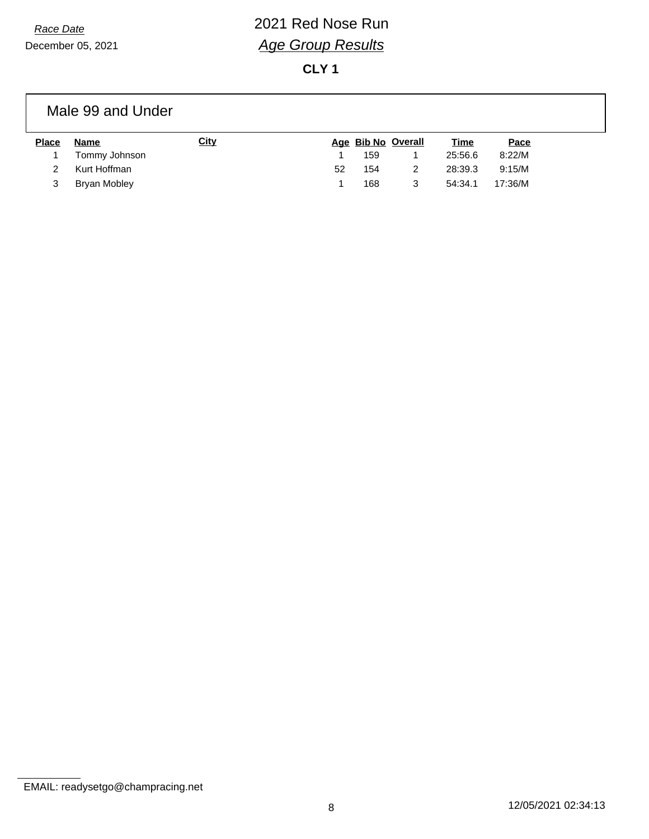## *Race Date* 2021 Red Nose Run *Age Group Results*

**CLY 1**

#### Male 99 and Under

| <b>Place</b> | Name          | <u>City</u> |    |     | Age Bib No Overall | <u>Time</u> | Pace    |
|--------------|---------------|-------------|----|-----|--------------------|-------------|---------|
|              | Tommy Johnson |             |    | 159 |                    | 25:56.6     | 8:22/M  |
|              | Kurt Hoffman  |             | 52 | 154 |                    | 28:39.3     | 9:15/M  |
| 3            | Bryan Mobley  |             |    | 168 | 3                  | 54:34.1     | 17:36/M |

EMAIL: readysetgo@champracing.net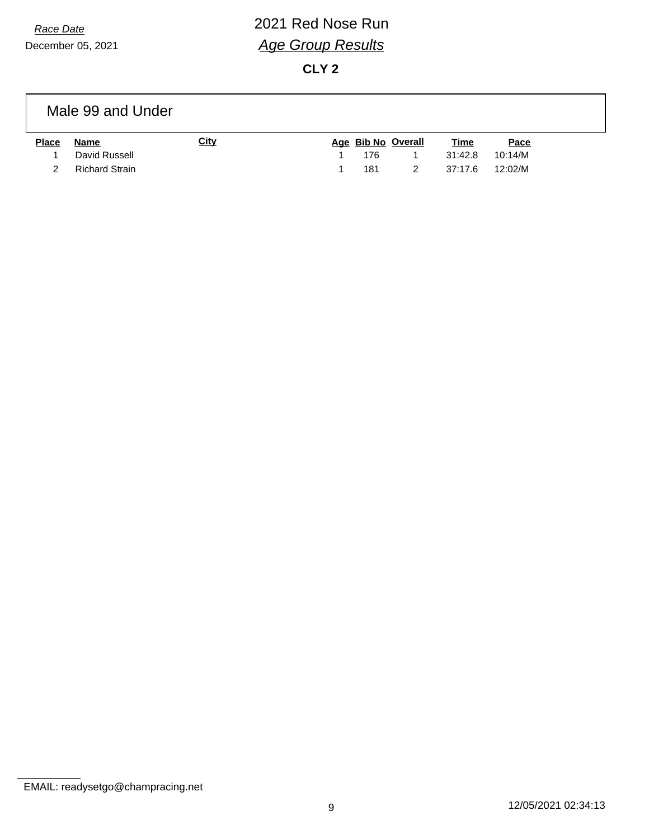# *Race Date* 2021 Red Nose Run *Age Group Results*

**CLY 2**

|              | Male 99 and Under     |             |     |                    |             |         |  |
|--------------|-----------------------|-------------|-----|--------------------|-------------|---------|--|
| <b>Place</b> | Name                  | <u>City</u> |     | Age Bib No Overall | <u>Time</u> | Pace    |  |
|              | David Russell         |             | 176 |                    | 31:42.8     | 10:14/M |  |
|              | <b>Richard Strain</b> |             | 181 |                    | 37:17.6     | 12:02/M |  |

EMAIL: readysetgo@champracing.net